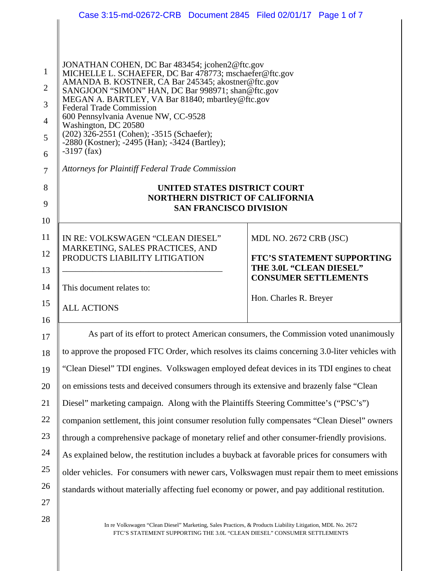|                                                                           | Case 3:15-md-02672-CRB Document 2845 Filed 02/01/17 Page 1 of 7                                                                                                                                                                                                                                                                                                                                                                                                                                                                                      |                                   |
|---------------------------------------------------------------------------|------------------------------------------------------------------------------------------------------------------------------------------------------------------------------------------------------------------------------------------------------------------------------------------------------------------------------------------------------------------------------------------------------------------------------------------------------------------------------------------------------------------------------------------------------|-----------------------------------|
|                                                                           |                                                                                                                                                                                                                                                                                                                                                                                                                                                                                                                                                      |                                   |
| $\mathbf{1}$<br>$\overline{2}$<br>3<br>$\overline{4}$<br>5<br>6<br>$\tau$ | JONATHAN COHEN, DC Bar 483454; jcohen2@ftc.gov<br>MICHELLE L. SCHAEFER, DC Bar 478773; mschaefer@ftc.gov<br>AMANDA B. KOSTNER, CA Bar 245345; akostner@ftc.gov<br>SANGJOON "SIMON" HAN, DC Bar 998971; shan@ftc.gov<br>MEGAN A. BARTLEY, VA Bar 81840; mbartley@ftc.gov<br><b>Federal Trade Commission</b><br>600 Pennsylvania Avenue NW, CC-9528<br>Washington, DC 20580<br>(202) 326-2551 (Cohen); -3515 (Schaefer);<br>-2880 (Kostner); -2495 (Han); -3424 (Bartley);<br>$-3197$ (fax)<br><b>Attorneys for Plaintiff Federal Trade Commission</b> |                                   |
| 8                                                                         | UNITED STATES DISTRICT COURT                                                                                                                                                                                                                                                                                                                                                                                                                                                                                                                         |                                   |
| 9                                                                         | <b>NORTHERN DISTRICT OF CALIFORNIA</b><br><b>SAN FRANCISCO DIVISION</b>                                                                                                                                                                                                                                                                                                                                                                                                                                                                              |                                   |
| 10                                                                        |                                                                                                                                                                                                                                                                                                                                                                                                                                                                                                                                                      |                                   |
| 11                                                                        | IN RE: VOLKSWAGEN "CLEAN DIESEL"                                                                                                                                                                                                                                                                                                                                                                                                                                                                                                                     | MDL NO. 2672 CRB (JSC)            |
| 12                                                                        | MARKETING, SALES PRACTICES, AND<br>PRODUCTS LIABILITY LITIGATION                                                                                                                                                                                                                                                                                                                                                                                                                                                                                     | <b>FTC'S STATEMENT SUPPORTING</b> |
| 13                                                                        |                                                                                                                                                                                                                                                                                                                                                                                                                                                                                                                                                      | THE 3.0L "CLEAN DIESEL"           |
| 14                                                                        | This document relates to:                                                                                                                                                                                                                                                                                                                                                                                                                                                                                                                            | <b>CONSUMER SETTLEMENTS</b>       |
| 15                                                                        |                                                                                                                                                                                                                                                                                                                                                                                                                                                                                                                                                      | Hon. Charles R. Breyer            |
| 16                                                                        | <b>ALL ACTIONS</b>                                                                                                                                                                                                                                                                                                                                                                                                                                                                                                                                   |                                   |
| 17                                                                        | As part of its effort to protect American consumers, the Commission voted unanimously                                                                                                                                                                                                                                                                                                                                                                                                                                                                |                                   |
| 18                                                                        | to approve the proposed FTC Order, which resolves its claims concerning 3.0-liter vehicles with                                                                                                                                                                                                                                                                                                                                                                                                                                                      |                                   |
| 19                                                                        | "Clean Diesel" TDI engines. Volkswagen employed defeat devices in its TDI engines to cheat                                                                                                                                                                                                                                                                                                                                                                                                                                                           |                                   |
| 20                                                                        | on emissions tests and deceived consumers through its extensive and brazenly false "Clean                                                                                                                                                                                                                                                                                                                                                                                                                                                            |                                   |
| 21                                                                        | Diesel" marketing campaign. Along with the Plaintiffs Steering Committee's ("PSC's")                                                                                                                                                                                                                                                                                                                                                                                                                                                                 |                                   |
| 22                                                                        | companion settlement, this joint consumer resolution fully compensates "Clean Diesel" owners                                                                                                                                                                                                                                                                                                                                                                                                                                                         |                                   |
| 23                                                                        | through a comprehensive package of monetary relief and other consumer-friendly provisions.                                                                                                                                                                                                                                                                                                                                                                                                                                                           |                                   |
| 24                                                                        | As explained below, the restitution includes a buyback at favorable prices for consumers with                                                                                                                                                                                                                                                                                                                                                                                                                                                        |                                   |
| 25                                                                        | older vehicles. For consumers with newer cars, Volkswagen must repair them to meet emissions                                                                                                                                                                                                                                                                                                                                                                                                                                                         |                                   |
| 26                                                                        | standards without materially affecting fuel economy or power, and pay additional restitution.                                                                                                                                                                                                                                                                                                                                                                                                                                                        |                                   |
| 27                                                                        |                                                                                                                                                                                                                                                                                                                                                                                                                                                                                                                                                      |                                   |
| 28                                                                        | In re Volkswagen "Clean Diesel" Marketing, Sales Practices, & Products Liability Litigation, MDL No. 2672<br>FTC'S STATEMENT SUPPORTING THE 3.0L "CLEAN DIESEL" CONSUMER SETTLEMENTS                                                                                                                                                                                                                                                                                                                                                                 |                                   |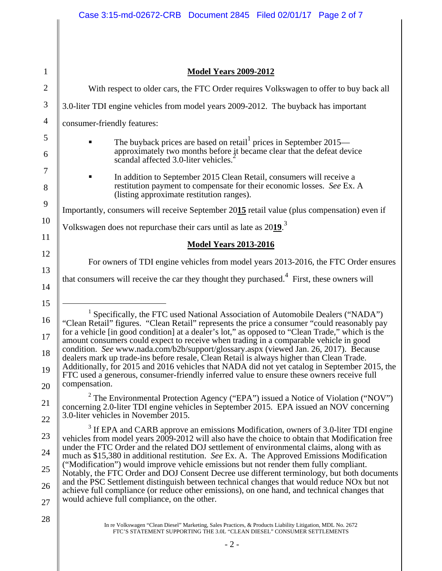$\mathsf{I}$ 

| $\mathbf{1}$   | <b>Model Years 2009-2012</b>                                                                                                                                                                           |
|----------------|--------------------------------------------------------------------------------------------------------------------------------------------------------------------------------------------------------|
|                |                                                                                                                                                                                                        |
| $\mathbf{2}$   | With respect to older cars, the FTC Order requires Volkswagen to offer to buy back all                                                                                                                 |
| 3              | 3.0-liter TDI engine vehicles from model years 2009-2012. The buyback has important                                                                                                                    |
| $\overline{4}$ | consumer-friendly features:                                                                                                                                                                            |
| 5              | The buyback prices are based on retail prices in September $2015-$                                                                                                                                     |
| 6              | approximately two months before it became clear that the defeat device<br>scandal affected 3.0-liter vehicles.                                                                                         |
| 7              | In addition to September 2015 Clean Retail, consumers will receive a                                                                                                                                   |
| 8              | restitution payment to compensate for their economic losses. See Ex. A<br>(listing approximate restitution ranges).                                                                                    |
| 9              | Importantly, consumers will receive September 2015 retail value (plus compensation) even if                                                                                                            |
| 10             | Volkswagen does not repurchase their cars until as late as 2019. <sup>3</sup>                                                                                                                          |
| 11             | <b>Model Years 2013-2016</b>                                                                                                                                                                           |
| 12             | For owners of TDI engine vehicles from model years 2013-2016, the FTC Order ensures                                                                                                                    |
| 13             | that consumers will receive the car they thought they purchased. <sup>4</sup> First, these owners will                                                                                                 |
| 14             |                                                                                                                                                                                                        |
| 15             | <sup>1</sup> Specifically, the FTC used National Association of Automobile Dealers ("NADA")                                                                                                            |
| 16             | "Clean Retail" figures. "Clean Retail" represents the price a consumer "could reasonably pay<br>for a vehicle [in good condition] at a dealer's lot," as opposed to "Clean Trade," which is the        |
| 17             | amount consumers could expect to receive when trading in a comparable vehicle in good                                                                                                                  |
| 18             | condition. See www.nada.com/b2b/support/glossary.aspx (viewed Jan. 26, 2017). Because<br>dealers mark up trade-ins before resale, Clean Retail is always higher than Clean Trade.                      |
| 19             | Additionally, for 2015 and 2016 vehicles that NADA did not yet catalog in September 2015, the<br>FTC used a generous, consumer-friendly inferred value to ensure these owners receive full             |
| 20             | compensation.                                                                                                                                                                                          |
| 21             | <sup>2</sup> The Environmental Protection Agency ("EPA") issued a Notice of Violation ("NOV")<br>concerning 2.0-liter TDI engine vehicles in September 2015. EPA issued an NOV concerning              |
| 22             | 3.0-liter vehicles in November 2015.                                                                                                                                                                   |
| 23             | $3$ If EPA and CARB approve an emissions Modification, owners of 3.0-liter TDI engine<br>vehicles from model years 2009-2012 will also have the choice to obtain that Modification free                |
| 24             | under the FTC Order and the related DOJ settlement of environmental claims, along with as<br>much as \$15,380 in additional restitution. See Ex. A. The Approved Emissions Modification                |
| 25             | ("Modification") would improve vehicle emissions but not render them fully compliant.<br>Notably, the FTC Order and DOJ Consent Decree use different terminology, but both documents                   |
| 26             | and the PSC Settlement distinguish between technical changes that would reduce NO <sub>x</sub> but not<br>achieve full compliance (or reduce other emissions), on one hand, and technical changes that |
| 27             | would achieve full compliance, on the other.                                                                                                                                                           |
| 28             | In re Volkswagen "Clean Diesel" Marketing, Sales Practices, & Products Liability Litigation, MDL No. 2672                                                                                              |
|                | FTC'S STATEMENT SUPPORTING THE 3.0L "CLEAN DIESEL" CONSUMER SETTLEMENTS                                                                                                                                |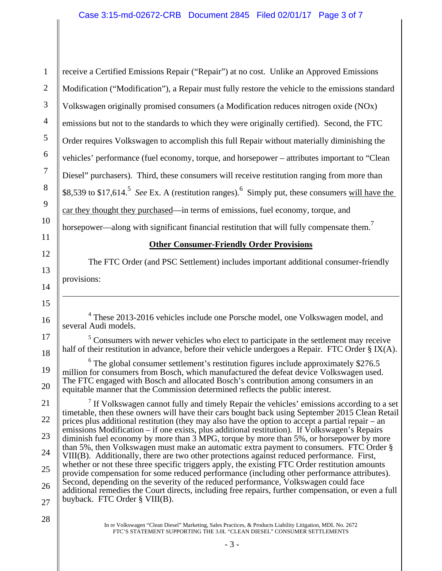1 2 3 4 5 6 7 8 9 10 11 12 13 14 15 16 17 18 19 20 21 22 23 24 25 26 27 28 \$8,539 to \$17,614.<sup>5</sup> *See* Ex. A (restitution ranges). Simply put, these consumers will have the horsepower—along with significant financial restitution that will fully compensate them.<sup>7</sup>  $\overline{a}$ receive a Certified Emissions Repair ("Repair") at no cost. Unlike an Approved Emissions Modification ("Modification"), a Repair must fully restore the vehicle to the emissions standard Volkswagen originally promised consumers (a Modification reduces nitrogen oxide (NOx) emissions but not to the standards to which they were originally certified). Second, the FTC Order requires Volkswagen to accomplish this full Repair without materially diminishing the vehicles' performance (fuel economy, torque, and horsepower – attributes important to "Clean Diesel" purchasers). Third, these consumers will receive restitution ranging from more than car they thought they purchased—in terms of emissions, fuel economy, torque, and **Other Consumer-Friendly Order Provisions**  The FTC Order (and PSC Settlement) includes important additional consumer-friendly provisions: <sup>4</sup> These 2013-2016 vehicles include one Porsche model, one Volkswagen model, and several Audi models.  $<sup>5</sup>$  Consumers with newer vehicles who elect to participate in the settlement may receive</sup> half of their restitution in advance, before their vehicle undergoes a Repair. FTC Order § IX(A). <sup>6</sup> The global consumer settlement's restitution figures include approximately \$276.5 million for consumers from Bosch, which manufactured the defeat device Volkswagen used. The FTC engaged with Bosch and allocated Bosch's contribution among consumers in an equitable manner that the Commission determined reflects the public interest.  $<sup>7</sup>$  If Volkswagen cannot fully and timely Repair the vehicles' emissions according to a set</sup> timetable, then these owners will have their cars bought back using September 2015 Clean Retail prices plus additional restitution (they may also have the option to accept a partial repair – an emissions Modification – if one exists, plus additional restitution). If Volkswagen's Repairs diminish fuel economy by more than 3 MPG, torque by more than 5%, or horsepower by more than 5%, then Volkswagen must make an automatic extra payment to consumers. FTC Order § VIII(B). Additionally, there are two other protections against reduced performance. First, whether or not these three specific triggers apply, the existing FTC Order restitution amounts provide compensation for some reduced performance (including other performance attributes). Second, depending on the severity of the reduced performance, Volkswagen could face additional remedies the Court directs, including free repairs, further compensation, or even a full buyback. FTC Order § VIII(B). In re Volkswagen "Clean Diesel" Marketing, Sales Practices, & Products Liability Litigation, MDL No. 2672 FTC'S STATEMENT SUPPORTING THE 3.0L "CLEAN DIESEL" CONSUMER SETTLEMENTS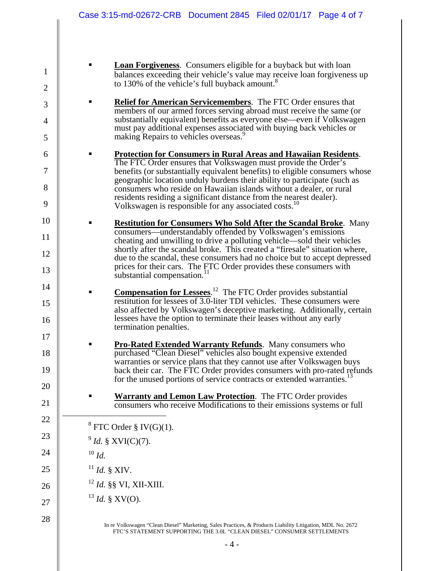| <b>Loan Forgiveness.</b> Consumers eligible for a buyback but with loan   |
|---------------------------------------------------------------------------|
| balances exceeding their vehicle's value may receive loan for giveness up |
| to 130% of the vehicle's full buyback amount. <sup>8</sup>                |

- **Relief for American Servicemembers**. The FTC Order ensures that members of our armed forces serving abroad must receive the same (or substantially equivalent) benefits as everyone else—even if Volkswagen must pay additional expenses associated with buying back vehicles or making Repairs to vehicles overseas.<sup>9</sup>
- Volkswagen is responsible for any associated costs.<sup>10</sup> **Protection for Consumers in Rural Areas and Hawaiian Residents**. The FTC Order ensures that Volkswagen must provide the Order's benefits (or substantially equivalent benefits) to eligible consumers whose geographic location unduly burdens their ability to participate (such as consumers who reside on Hawaiian islands without a dealer, or rural residents residing a significant distance from the nearest dealer).
- **Restitution for Consumers Who Sold After the Scandal Broke**. Many consumers—understandably offended by Volkswagen's emissions cheating and unwilling to drive a polluting vehicle—sold their vehicles shortly after the scandal broke. This created a "firesale" situation where, due to the scandal, these consumers had no choice but to accept depressed prices for their cars. The FTC Order provides these consumers with substantial compensation.<sup>11</sup>
	- **Compensation for Lessees.**<sup>12</sup> The FTC Order provides substantial restitution for lessees of 3.0-liter TDI vehicles. These consumers were also affected by Volkswagen's deceptive marketing. Additionally, certain lessees have the option to terminate their leases without any early termination penalties.
		- **Pro-Rated Extended Warranty Refunds**. Many consumers who purchased "Clean Diesel" vehicles also bought expensive extended warranties or service plans that they cannot use after Volkswagen buys back their car. The FTC Order provides consumers with pro-rated refunds for the unused portions of service contracts or extended warranties.<sup>13</sup>
		- **Warranty and Lemon Law Protection**. The FTC Order provides consumers who receive Modifications to their emissions systems or full

 $8$  FTC Order  $\S$  IV(G)(1).

<sup>9</sup>*Id.* § XVI(C)(7).

 $^{10}$   $ld$ .

1

2

3

4

5

6

7

8

9

10

11

12

13

14

15

16

17

18

19

20

21

22

 $\overline{a}$ 

23

24

25

26

27

28

- $^{11}$ *Id.* § XIV.
- <sup>12</sup>*Id.* §§ VI, XII-XIII.
- $^{13}$  *Id.* § XV(O).

In re Volkswagen "Clean Diesel" Marketing, Sales Practices, & Products Liability Litigation, MDL No. 2672 FTC'S STATEMENT SUPPORTING THE 3.0L "CLEAN DIESEL" CONSUMER SETTLEMENTS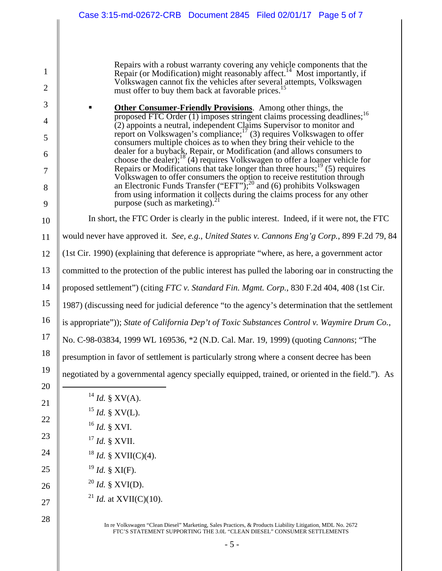Repairs with a robust warranty covering any vehicle components that the Repair (or Modification) might reasonably affect.<sup>14</sup> Most importantly, if Volkswagen cannot fix the vehicles after several attempts, Volkswagen must offer to buy them back at favorable prices.

**• Other Consumer-Friendly Provisions.** Among other things, the proposed FTC Order (1) imposes stringent claims processing deadlines;<sup>16</sup> (2) appoints a neutral, independent Claims Supervisor to monitor and report on Volkswagen's compliance; $\frac{17}{3}$  requires Volkswagen to offer consumers multiple choices as to when they bring their vehicle to the dealer for a buyback, Repair, or Modification (and allows consumers to choose the dealer); $^{18}$  (4) requires Volkswagen to offer a loaner vehicle for Repairs or Modifications that take longer than three hours;<sup>19</sup> (5) requires Volkswagen to offer consumers the option to receive restitution through an Electronic Funds Transfer ("EFT");<sup>20</sup> and (6) prohibits Volkswagen from using information it collects during the claims process for any other purpose (such as marketing). $\frac{3}{2}$ 

In short, the FTC Order is clearly in the public interest. Indeed, if it were not, the FTC

would never have approved it. *See*, *e.g.*, *United States v. Cannons Eng'g Corp.*, 899 F.2d 79, 84

(1st Cir. 1990) (explaining that deference is appropriate "where, as here, a government actor

committed to the protection of the public interest has pulled the laboring oar in constructing the

 14 proposed settlement") (citing *FTC v. Standard Fin. Mgmt. Corp.*, 830 F.2d 404, 408 (1st Cir.

1987) (discussing need for judicial deference "to the agency's determination that the settlement

 16 is appropriate")); *State of California Dep't of Toxic Substances Control v. Waymire Drum Co.*,

 17 No. C-98-03834, 1999 WL 169536, \*2 (N.D. Cal. Mar. 19, 1999) (quoting *Cannons*; "The

presumption in favor of settlement is particularly strong where a consent decree has been

negotiated by a governmental agency specially equipped, trained, or oriented in the field."). As

| $^{14}$ <i>Id.</i> § XV(A).              |
|------------------------------------------|
| $15$ <i>Id.</i> § XV(L).                 |
| $16$ <i>Id.</i> § XVI.                   |
| $17$ <i>Id.</i> § XVII.                  |
| <sup>18</sup> <i>Id.</i> § XVII(C)(4).   |
| $19$ <i>Id.</i> § XI(F).                 |
| $^{20}$ <i>Id.</i> § XVI(D).             |
| <sup>21</sup> <i>Id.</i> at XVII(C)(10). |

1

2

3

4

5

6

7

8

9

10

11

12

13

15

18

19

20

 $\overline{a}$ 

21

22

23

24

25

26

27

28

In re Volkswagen "Clean Diesel" Marketing, Sales Practices, & Products Liability Litigation, MDL No. 2672 FTC'S STATEMENT SUPPORTING THE 3.0L "CLEAN DIESEL" CONSUMER SETTLEMENTS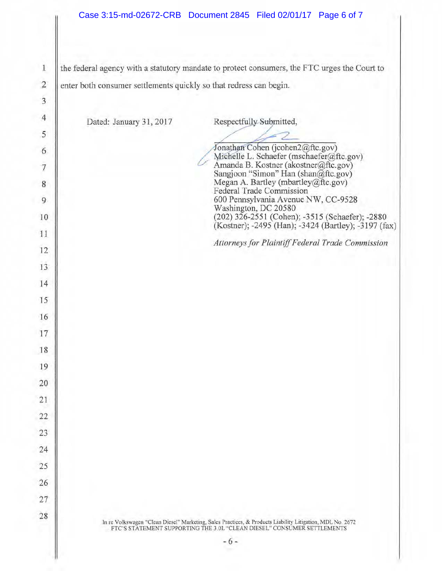1 the federal agency with a statutory mandate to protect consumers, the FTC urges the Court to 2 enter both consumer settlements quickly so that redress can begin.

| $\ensuremath{\mathsf{3}}$ |                                                                                                                                                                                      |
|---------------------------|--------------------------------------------------------------------------------------------------------------------------------------------------------------------------------------|
| $\overline{4}$            | Dated: January 31, 2017<br>Respectfully-Submitted,                                                                                                                                   |
| 5                         |                                                                                                                                                                                      |
| 6                         | Jonathan Cohen (jcohen2@ftc.gov)                                                                                                                                                     |
| $\overline{\mathcal{I}}$  | Michelle L. Schaefer (mschaefer@ftc.gov)<br>Amanda B. Kostner (akostner@ftc.gov)<br>Sangjoon "Simon" Han (shan@ftc.gov)                                                              |
| 8                         | Megan A. Bartley (mbartley@ftc.gov)<br>Federal Trade Commission                                                                                                                      |
| 9                         | 600 Pennsylvania Avenue NW, CC-9528<br>Washington, DC 20580                                                                                                                          |
| 10                        | (202) 326-2551 (Cohen); -3515 (Schaefer); -2880 (Kostner); -2495 (Han); -3424 (Bartley); -3197 (fax)                                                                                 |
| 11                        | Attorneys for Plaintiff Federal Trade Commission                                                                                                                                     |
| 12                        |                                                                                                                                                                                      |
| 13                        |                                                                                                                                                                                      |
| 14                        |                                                                                                                                                                                      |
| 15                        |                                                                                                                                                                                      |
| 16                        |                                                                                                                                                                                      |
| 17                        |                                                                                                                                                                                      |
| 18                        |                                                                                                                                                                                      |
| 19                        |                                                                                                                                                                                      |
| 20                        |                                                                                                                                                                                      |
| 21                        |                                                                                                                                                                                      |
| 22                        |                                                                                                                                                                                      |
| 23                        |                                                                                                                                                                                      |
| 24                        |                                                                                                                                                                                      |
| 25                        |                                                                                                                                                                                      |
| 26                        |                                                                                                                                                                                      |
| 27                        |                                                                                                                                                                                      |
| 28                        | In re Volkswagen "Clean Diesel" Marketing, Sales Practices, & Products Liability Litigation, MDL No. 2672<br>FTC'S STATEMENT SUPPORTING THE 3.0L "CLEAN DIESEL" CONSUMER SETTLEMENTS |
|                           | $-6-$                                                                                                                                                                                |